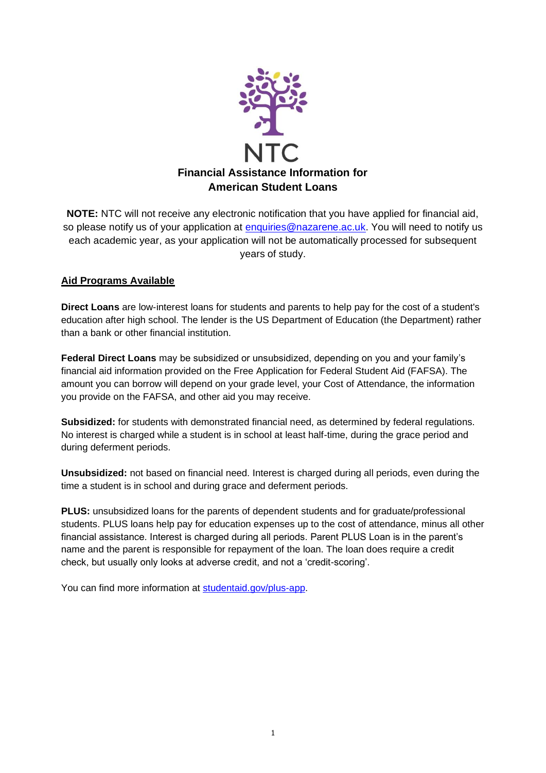

**NOTE:** NTC will not receive any electronic notification that you have applied for financial aid, so please notify us of your application at [enquiries@nazarene.ac.uk.](mailto:enquiries@nazarene.ac.uk) You will need to notify us each academic year, as your application will not be automatically processed for subsequent years of study.

# **Aid Programs Available**

**Direct Loans** are low-interest loans for students and parents to help pay for the cost of a student's education after high school. The lender is the US Department of Education (the Department) rather than a bank or other financial institution.

**Federal Direct Loans** may be subsidized or unsubsidized, depending on you and your family's financial aid information provided on the Free Application for Federal Student Aid (FAFSA). The amount you can borrow will depend on your grade level, your Cost of Attendance, the information you provide on the FAFSA, and other aid you may receive.

**Subsidized:** for students with demonstrated financial need, as determined by federal regulations. No interest is charged while a student is in school at least half-time, during the grace period and during deferment periods.

**Unsubsidized:** not based on financial need. Interest is charged during all periods, even during the time a student is in school and during grace and deferment periods.

**PLUS:** unsubsidized loans for the parents of dependent students and for graduate/professional students. PLUS loans help pay for education expenses up to the cost of attendance, minus all other financial assistance. Interest is charged during all periods. Parent PLUS Loan is in the parent's name and the parent is responsible for repayment of the loan. The loan does require a credit check, but usually only looks at adverse credit, and not a 'credit-scoring'.

You can find more information at [studentaid.gov/plus-app.](https://studentaid.gov/plus-app/)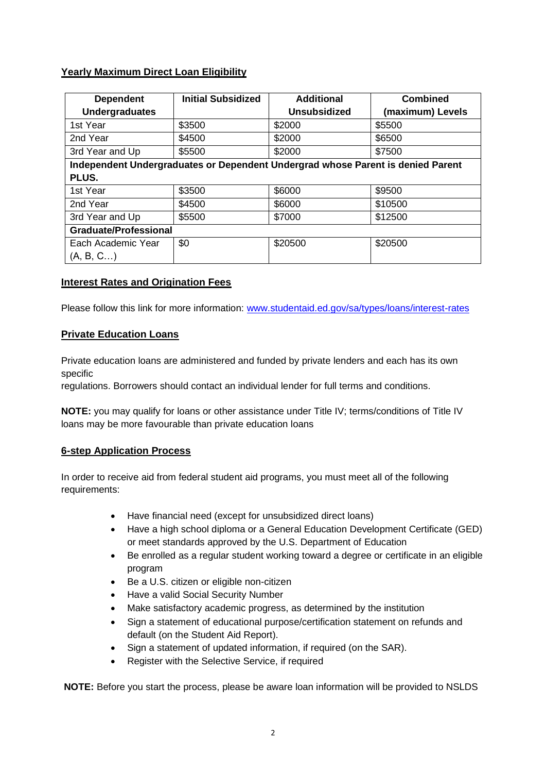## **Yearly Maximum Direct Loan Eligibility**

| <b>Dependent</b>                                                                | <b>Initial Subsidized</b> | <b>Additional</b>   | <b>Combined</b>  |
|---------------------------------------------------------------------------------|---------------------------|---------------------|------------------|
| <b>Undergraduates</b>                                                           |                           | <b>Unsubsidized</b> | (maximum) Levels |
| 1st Year                                                                        | \$3500                    | \$2000              | \$5500           |
| 2nd Year                                                                        | \$4500                    | \$2000              | \$6500           |
| 3rd Year and Up                                                                 | \$5500                    | \$2000              | \$7500           |
| Independent Undergraduates or Dependent Undergrad whose Parent is denied Parent |                           |                     |                  |
| <b>PLUS.</b>                                                                    |                           |                     |                  |
| 1st Year                                                                        | \$3500                    | \$6000              | \$9500           |
| 2nd Year                                                                        | \$4500                    | \$6000              | \$10500          |
| 3rd Year and Up                                                                 | \$5500                    | \$7000              | \$12500          |
| <b>Graduate/Professional</b>                                                    |                           |                     |                  |
| Each Academic Year                                                              | \$0                       | \$20500             | \$20500          |
| (A, B, C)                                                                       |                           |                     |                  |

## **Interest Rates and Origination Fees**

Please follow this link for more information: [www.studentaid.ed.gov/sa/types/loans/interest-rates](http://www.studentaid.ed.gov/sa/types/loans/interest-rates)

## **Private Education Loans**

Private education loans are administered and funded by private lenders and each has its own specific

regulations. Borrowers should contact an individual lender for full terms and conditions.

**NOTE:** you may qualify for loans or other assistance under Title IV; terms/conditions of Title IV loans may be more favourable than private education loans

## **6-step Application Process**

In order to receive aid from federal student aid programs, you must meet all of the following requirements:

- Have financial need (except for unsubsidized direct loans)
- Have a high school diploma or a General Education Development Certificate (GED) or meet standards approved by the U.S. Department of Education
- Be enrolled as a regular student working toward a degree or certificate in an eligible program
- Be a U.S. citizen or eligible non-citizen
- Have a valid Social Security Number
- Make satisfactory academic progress, as determined by the institution
- Sign a statement of educational purpose/certification statement on refunds and default (on the Student Aid Report).
- Sign a statement of updated information, if required (on the SAR).
- Register with the Selective Service, if required

**NOTE:** Before you start the process, please be aware loan information will be provided to NSLDS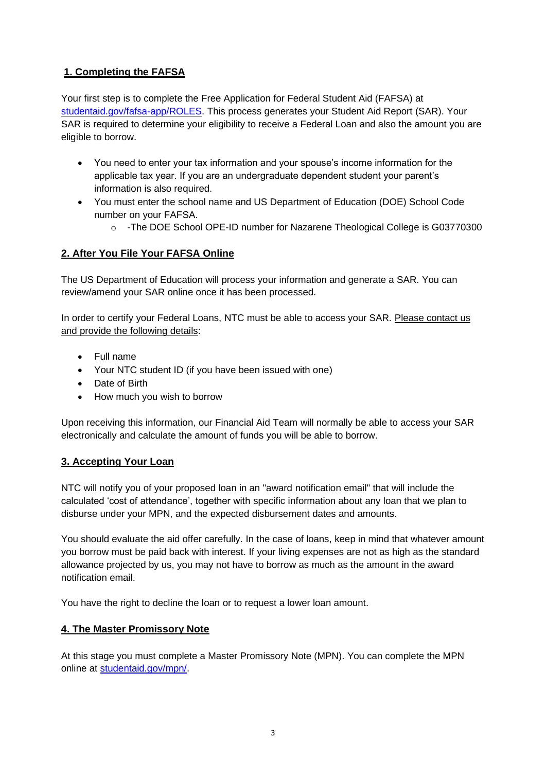# **1. Completing the FAFSA**

Your first step is to complete the Free Application for Federal Student Aid (FAFSA) at [studentaid.gov/fafsa-app/ROLES.](https://studentaid.gov/fafsa-app/ROLES) This process generates your Student Aid Report (SAR). Your SAR is required to determine your eligibility to receive a Federal Loan and also the amount you are eligible to borrow.

- You need to enter your tax information and your spouse's income information for the applicable tax year. If you are an undergraduate dependent student your parent's information is also required.
- You must enter the school name and US Department of Education (DOE) School Code number on your FAFSA.
	- o -The DOE School OPE-ID number for Nazarene Theological College is G03770300

# **2. After You File Your FAFSA Online**

The US Department of Education will process your information and generate a SAR. You can review/amend your SAR online once it has been processed.

In order to certify your Federal Loans, NTC must be able to access your SAR. Please contact us and provide the following details:

- Full name
- Your NTC student ID (if you have been issued with one)
- Date of Birth
- How much you wish to borrow

Upon receiving this information, our Financial Aid Team will normally be able to access your SAR electronically and calculate the amount of funds you will be able to borrow.

# **3. Accepting Your Loan**

NTC will notify you of your proposed loan in an "award notification email" that will include the calculated 'cost of attendance', together with specific information about any loan that we plan to disburse under your MPN, and the expected disbursement dates and amounts.

You should evaluate the aid offer carefully. In the case of loans, keep in mind that whatever amount you borrow must be paid back with interest. If your living expenses are not as high as the standard allowance projected by us, you may not have to borrow as much as the amount in the award notification email.

You have the right to decline the loan or to request a lower loan amount.

# **4. The Master Promissory Note**

At this stage you must complete a Master Promissory Note (MPN). You can complete the MPN online at [studentaid.gov/mpn/.](https://studentaid.gov/mpn/)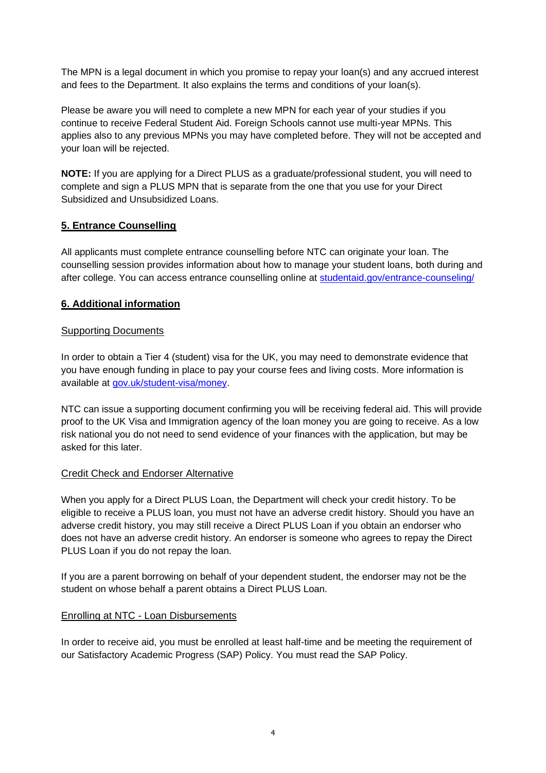The MPN is a legal document in which you promise to repay your loan(s) and any accrued interest and fees to the Department. It also explains the terms and conditions of your loan(s).

Please be aware you will need to complete a new MPN for each year of your studies if you continue to receive Federal Student Aid. Foreign Schools cannot use multi-year MPNs. This applies also to any previous MPNs you may have completed before. They will not be accepted and your loan will be rejected.

**NOTE:** If you are applying for a Direct PLUS as a graduate/professional student, you will need to complete and sign a PLUS MPN that is separate from the one that you use for your Direct Subsidized and Unsubsidized Loans.

# **5. Entrance Counselling**

All applicants must complete entrance counselling before NTC can originate your loan. The counselling session provides information about how to manage your student loans, both during and after college. You can access entrance counselling online at [studentaid.gov/entrance-counseling/](https://studentaid.gov/entrance-counseling/)

# **6. Additional information**

## Supporting Documents

In order to obtain a Tier 4 (student) visa for the UK, you may need to demonstrate evidence that you have enough funding in place to pay your course fees and living costs. More information is available at [gov.uk/student-visa/money.](https://www.gov.uk/student-visa/money)

NTC can issue a supporting document confirming you will be receiving federal aid. This will provide proof to the UK Visa and Immigration agency of the loan money you are going to receive. As a low risk national you do not need to send evidence of your finances with the application, but may be asked for this later.

## Credit Check and Endorser Alternative

When you apply for a Direct PLUS Loan, the Department will check your credit history. To be eligible to receive a PLUS loan, you must not have an adverse credit history. Should you have an adverse credit history, you may still receive a Direct PLUS Loan if you obtain an endorser who does not have an adverse credit history. An endorser is someone who agrees to repay the Direct PLUS Loan if you do not repay the loan.

If you are a parent borrowing on behalf of your dependent student, the endorser may not be the student on whose behalf a parent obtains a Direct PLUS Loan.

## Enrolling at NTC - Loan Disbursements

In order to receive aid, you must be enrolled at least half-time and be meeting the requirement of our Satisfactory Academic Progress (SAP) Policy. You must read the SAP Policy.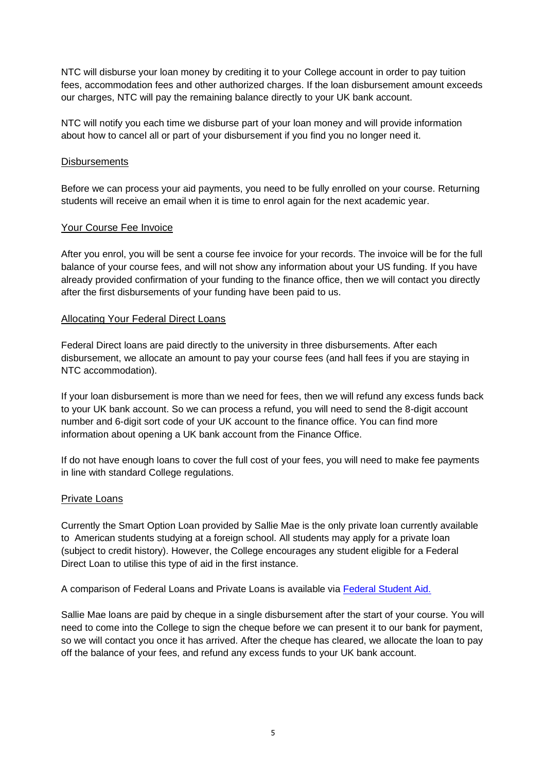NTC will disburse your loan money by crediting it to your College account in order to pay tuition fees, accommodation fees and other authorized charges. If the loan disbursement amount exceeds our charges, NTC will pay the remaining balance directly to your UK bank account.

NTC will notify you each time we disburse part of your loan money and will provide information about how to cancel all or part of your disbursement if you find you no longer need it.

### **Disbursements**

Before we can process your aid payments, you need to be fully enrolled on your course. Returning students will receive an email when it is time to enrol again for the next academic year.

### Your Course Fee Invoice

After you enrol, you will be sent a course fee invoice for your records. The invoice will be for the full balance of your course fees, and will not show any information about your US funding. If you have already provided confirmation of your funding to the finance office, then we will contact you directly after the first disbursements of your funding have been paid to us.

### Allocating Your Federal Direct Loans

Federal Direct loans are paid directly to the university in three disbursements. After each disbursement, we allocate an amount to pay your course fees (and hall fees if you are staying in NTC accommodation).

If your loan disbursement is more than we need for fees, then we will refund any excess funds back to your UK bank account. So we can process a refund, you will need to send the 8-digit account number and 6-digit sort code of your UK account to the finance office. You can find more information about opening a UK bank account from the Finance Office.

If do not have enough loans to cover the full cost of your fees, you will need to make fee payments in line with standard College regulations.

### Private Loans

Currently the Smart Option Loan provided by Sallie Mae is the only private loan currently available to American students studying at a foreign school. All students may apply for a private loan (subject to credit history). However, the College encourages any student eligible for a Federal Direct Loan to utilise this type of aid in the first instance.

A comparison of Federal Loans and Private Loans is available via [Federal Student Aid.](https://studentaid.ed.gov/sa/types/loans/federal-vs-private)

Sallie Mae loans are paid by cheque in a single disbursement after the start of your course. You will need to come into the College to sign the cheque before we can present it to our bank for payment, so we will contact you once it has arrived. After the cheque has cleared, we allocate the loan to pay off the balance of your fees, and refund any excess funds to your UK bank account.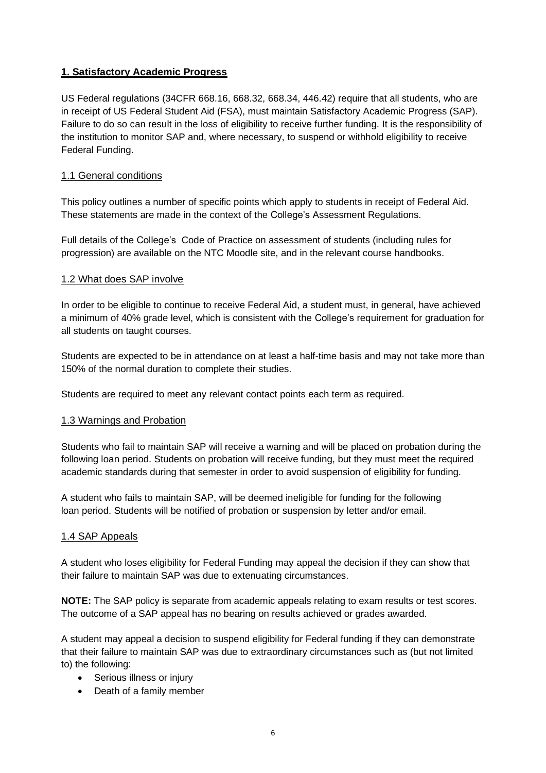## **1. Satisfactory Academic Progress**

US Federal regulations (34CFR 668.16, 668.32, 668.34, 446.42) require that all students, who are in receipt of US Federal Student Aid (FSA), must maintain Satisfactory Academic Progress (SAP). Failure to do so can result in the loss of eligibility to receive further funding. It is the responsibility of the institution to monitor SAP and, where necessary, to suspend or withhold eligibility to receive Federal Funding.

## 1.1 General conditions

This policy outlines a number of specific points which apply to students in receipt of Federal Aid. These statements are made in the context of the College's Assessment Regulations.

Full details of the College's Code of Practice on assessment of students (including rules for progression) are available on the NTC Moodle site, and in the relevant course handbooks.

## 1.2 What does SAP involve

In order to be eligible to continue to receive Federal Aid, a student must, in general, have achieved a minimum of 40% grade level, which is consistent with the College's requirement for graduation for all students on taught courses.

Students are expected to be in attendance on at least a half-time basis and may not take more than 150% of the normal duration to complete their studies.

Students are required to meet any relevant contact points each term as required.

## 1.3 Warnings and Probation

Students who fail to maintain SAP will receive a warning and will be placed on probation during the following loan period. Students on probation will receive funding, but they must meet the required academic standards during that semester in order to avoid suspension of eligibility for funding.

A student who fails to maintain SAP, will be deemed ineligible for funding for the following loan period. Students will be notified of probation or suspension by letter and/or email.

## 1.4 SAP Appeals

A student who loses eligibility for Federal Funding may appeal the decision if they can show that their failure to maintain SAP was due to extenuating circumstances.

**NOTE:** The SAP policy is separate from academic appeals relating to exam results or test scores. The outcome of a SAP appeal has no bearing on results achieved or grades awarded.

A student may appeal a decision to suspend eligibility for Federal funding if they can demonstrate that their failure to maintain SAP was due to extraordinary circumstances such as (but not limited to) the following:

- Serious illness or injury
- Death of a family member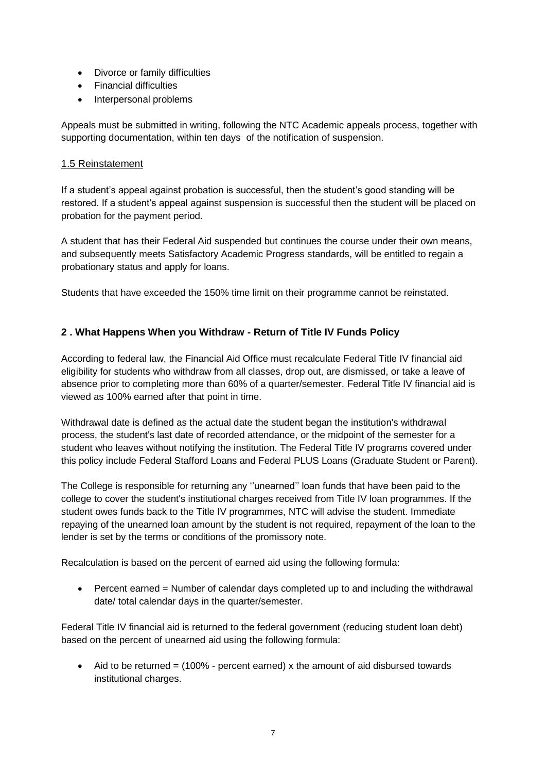- Divorce or family difficulties
- Financial difficulties
- Interpersonal problems

Appeals must be submitted in writing, following the NTC Academic appeals process, together with supporting documentation, within ten days of the notification of suspension.

## 1.5 Reinstatement

If a student's appeal against probation is successful, then the student's good standing will be restored. If a student's appeal against suspension is successful then the student will be placed on probation for the payment period.

A student that has their Federal Aid suspended but continues the course under their own means, and subsequently meets Satisfactory Academic Progress standards, will be entitled to regain a probationary status and apply for loans.

Students that have exceeded the 150% time limit on their programme cannot be reinstated.

## **2 . What Happens When you Withdraw - Return of Title IV Funds Policy**

According to federal law, the Financial Aid Office must recalculate Federal Title IV financial aid eligibility for students who withdraw from all classes, drop out, are dismissed, or take a leave of absence prior to completing more than 60% of a quarter/semester. Federal Title IV financial aid is viewed as 100% earned after that point in time.

Withdrawal date is defined as the actual date the student began the institution's withdrawal process, the student's last date of recorded attendance, or the midpoint of the semester for a student who leaves without notifying the institution. The Federal Title IV programs covered under this policy include Federal Stafford Loans and Federal PLUS Loans (Graduate Student or Parent).

The College is responsible for returning any ''unearned'' loan funds that have been paid to the college to cover the student's institutional charges received from Title IV loan programmes. If the student owes funds back to the Title IV programmes, NTC will advise the student. Immediate repaying of the unearned loan amount by the student is not required, repayment of the loan to the lender is set by the terms or conditions of the promissory note.

Recalculation is based on the percent of earned aid using the following formula:

• Percent earned = Number of calendar days completed up to and including the withdrawal date/ total calendar days in the quarter/semester.

Federal Title IV financial aid is returned to the federal government (reducing student loan debt) based on the percent of unearned aid using the following formula:

• Aid to be returned  $= (100\% - \text{percent earned}) \times \text{the amount of aid discharged towards}$ institutional charges.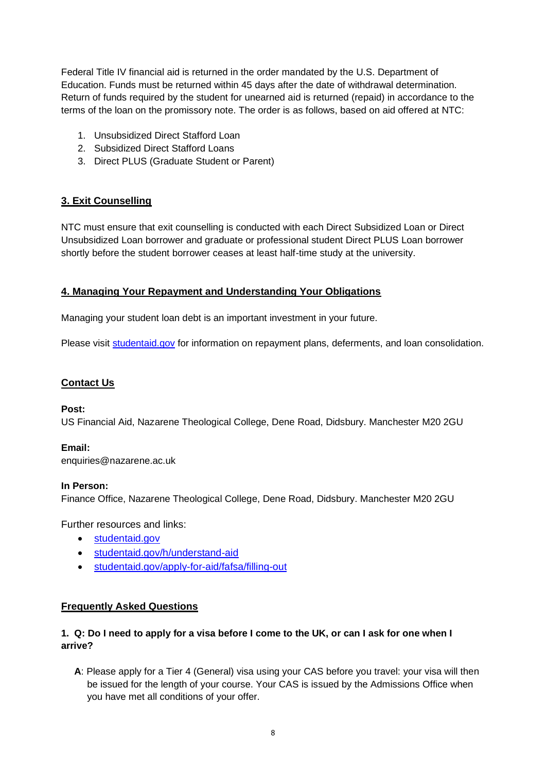Federal Title IV financial aid is returned in the order mandated by the U.S. Department of Education. Funds must be returned within 45 days after the date of withdrawal determination. Return of funds required by the student for unearned aid is returned (repaid) in accordance to the terms of the loan on the promissory note. The order is as follows, based on aid offered at NTC:

- 1. Unsubsidized Direct Stafford Loan
- 2. Subsidized Direct Stafford Loans
- 3. Direct PLUS (Graduate Student or Parent)

# **3. Exit Counselling**

NTC must ensure that exit counselling is conducted with each Direct Subsidized Loan or Direct Unsubsidized Loan borrower and graduate or professional student Direct PLUS Loan borrower shortly before the student borrower ceases at least half-time study at the university.

## **4. Managing Your Repayment and Understanding Your Obligations**

Managing your student loan debt is an important investment in your future.

Please visit [studentaid.gov](https://studentaid.gov/) for information on repayment plans, deferments, and loan consolidation.

## **Contact Us**

### **Post:**

US Financial Aid, Nazarene Theological College, Dene Road, Didsbury. Manchester M20 2GU

## **Email:**

enquiries@nazarene.ac.uk

### **In Person:**

Finance Office, Nazarene Theological College, Dene Road, Didsbury. Manchester M20 2GU

Further resources and links:

- [studentaid.gov](https://studentaid.gov/)
- [studentaid.gov/h/understand-aid](https://studentaid.gov/h/understand-aid)
- [studentaid.gov/apply-for-aid/fafsa/filling-out](https://studentaid.gov/apply-for-aid/fafsa/filling-out)

## **Frequently Asked Questions**

## **1. Q: Do I need to apply for a visa before I come to the UK, or can I ask for one when I arrive?**

**A**: Please apply for a Tier 4 (General) visa using your CAS before you travel: your visa will then be issued for the length of your course. Your CAS is issued by the Admissions Office when you have met all conditions of your offer.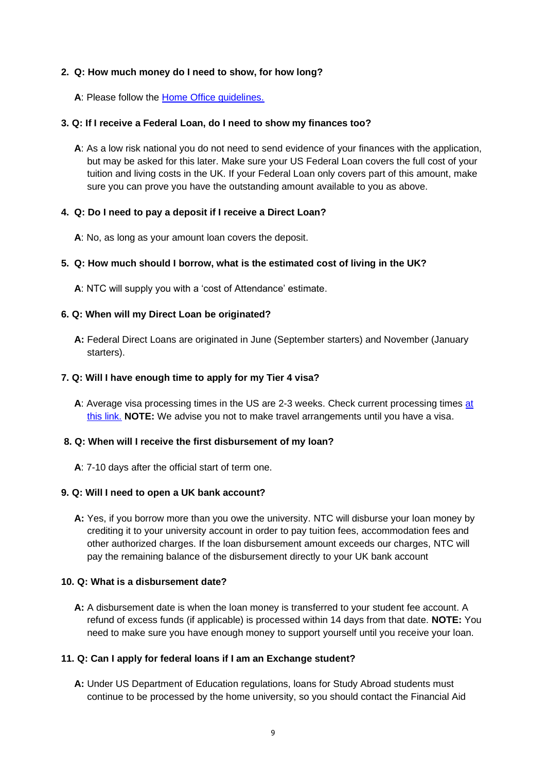### **2. Q: How much money do I need to show, for how long?**

**A**: Please follow the [Home Office guidelines.](https://www.gov.uk/student-visa/money)

### **3. Q: If I receive a Federal Loan, do I need to show my finances too?**

**A**: As a low risk national you do not need to send evidence of your finances with the application, but may be asked for this later. Make sure your US Federal Loan covers the full cost of your tuition and living costs in the UK. If your Federal Loan only covers part of this amount, make sure you can prove you have the outstanding amount available to you as above.

### **4. Q: Do I need to pay a deposit if I receive a Direct Loan?**

**A**: No, as long as your amount loan covers the deposit.

### **5. Q: How much should I borrow, what is the estimated cost of living in the UK?**

**A**: NTC will supply you with a 'cost of Attendance' estimate.

### **6. Q: When will my Direct Loan be originated?**

**A:** Federal Direct Loans are originated in June (September starters) and November (January starters).

### **7. Q: Will I have enough time to apply for my Tier 4 visa?**

A: Average visa processing times in the US are 2-3 weeks. Check current processing times [at](https://www.gov.uk/guidance/visa-decision-waiting-times-applications-outside-the-uk#:~:text=visa%20application%20centre.-,Study%20in%20the%20UK,Short%2Dterm%20study%20visa) [this link.](https://www.gov.uk/guidance/visa-decision-waiting-times-applications-outside-the-uk#:~:text=visa%20application%20centre.-,Study%20in%20the%20UK,Short%2Dterm%20study%20visa) **NOTE:** We advise you not to make travel arrangements until you have a visa.

### **8. Q: When will I receive the first disbursement of my loan?**

**A**: 7-10 days after the official start of term one.

### **9. Q: Will I need to open a UK bank account?**

**A:** Yes, if you borrow more than you owe the university. NTC will disburse your loan money by crediting it to your university account in order to pay tuition fees, accommodation fees and other authorized charges. If the loan disbursement amount exceeds our charges, NTC will pay the remaining balance of the disbursement directly to your UK bank account

### **10. Q: What is a disbursement date?**

**A:** A disbursement date is when the loan money is transferred to your student fee account. A refund of excess funds (if applicable) is processed within 14 days from that date. **NOTE:** You need to make sure you have enough money to support yourself until you receive your loan.

### **11. Q: Can I apply for federal loans if I am an Exchange student?**

**A:** Under US Department of Education regulations, loans for Study Abroad students must continue to be processed by the home university, so you should contact the Financial Aid